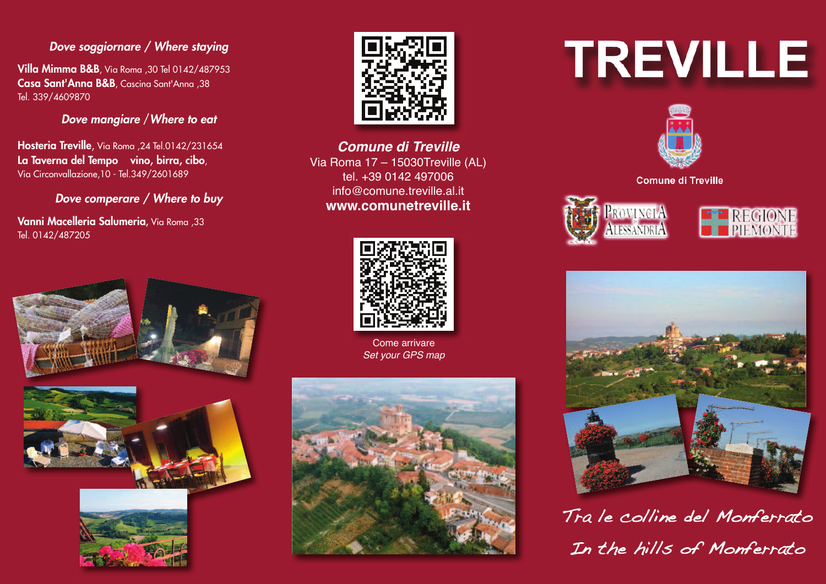#### *Dove soggiornare / Where staying*

**Villa Mimma B&B**, Via Roma ,30 Tel 0142/487953 **Casa Sant'Anna B&B**, Cascina Sant'Anna ,38 Tel. 339/4609870

*Dove mangiare* /*Where to eat*

**Hosteria Treville**, Via Roma ,24 Tel.0142/231654 **La Taverna del Tempo vino, birra, cibo**, Via Circonvallazione,10 - Tel.349/2601689

*Dove comperare / Where to buy*

**Vanni Macelleria Salumeria,** Via Roma ,33 Tel. 0142/487205





**Comune di Treville** Via Roma 17 – 15030Treville (AL) tel. +39 0142 497006 info@comune.treville.al.it **www.comunetreville.it**



Come arrivare Set your GPS map



# **TREVILLE**



**Comune di Treville** 

PROVINCIA

**LESSANDRIA** 





Tra le colline del Monferrato In the hills of Monferrato